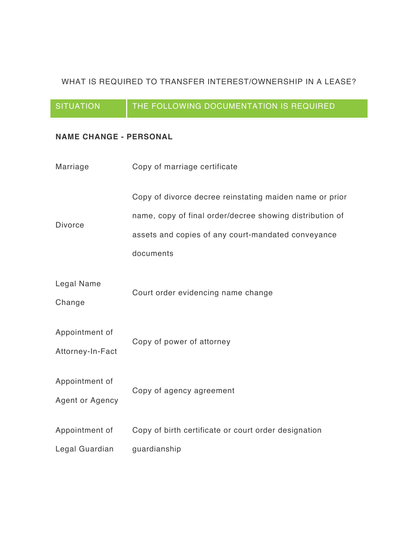### WHAT IS REQUIRED TO TRANSFER INTEREST/OWNERSHIP IN A LEASE?

## SITUATION **THE FOLLOWING DOCUMENTATION IS REQUIRED**

### **NAME CHANGE - PERSONAL**

| Marriage                           | Copy of marriage certificate                                                                                                                                                           |
|------------------------------------|----------------------------------------------------------------------------------------------------------------------------------------------------------------------------------------|
| <b>Divorce</b>                     | Copy of divorce decree reinstating maiden name or prior<br>name, copy of final order/decree showing distribution of<br>assets and copies of any court-mandated conveyance<br>documents |
| Legal Name<br>Change               | Court order evidencing name change                                                                                                                                                     |
| Appointment of<br>Attorney-In-Fact | Copy of power of attorney                                                                                                                                                              |
| Appointment of<br>Agent or Agency  | Copy of agency agreement                                                                                                                                                               |
| Appointment of                     | Copy of birth certificate or court order designation                                                                                                                                   |
| Legal Guardian                     | guardianship                                                                                                                                                                           |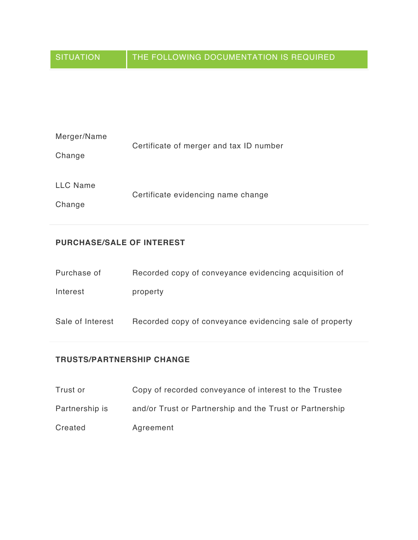| Merger/Name     | Certificate of merger and tax ID number |
|-----------------|-----------------------------------------|
| Change          |                                         |
|                 |                                         |
| <b>LLC Name</b> |                                         |
|                 | Certificate evidencing name change      |
| Change          |                                         |

#### **PURCHASE/SALE OF INTEREST**

| Purchase of      | Recorded copy of conveyance evidencing acquisition of   |
|------------------|---------------------------------------------------------|
| Interest         | property                                                |
| Sale of Interest | Recorded copy of conveyance evidencing sale of property |

#### **TRUSTS/PARTNERSHIP CHANGE**

| Trust or       | Copy of recorded conveyance of interest to the Trustee   |
|----------------|----------------------------------------------------------|
| Partnership is | and/or Trust or Partnership and the Trust or Partnership |
| Created        | Agreement                                                |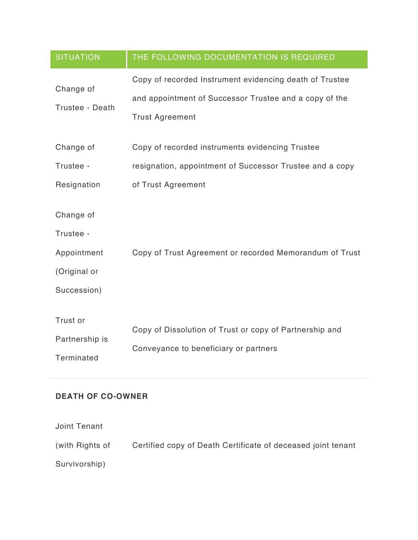| <b>SITUATION</b>                                                     | THE FOLLOWING DOCUMENTATION IS REQUIRED                                                                                                     |
|----------------------------------------------------------------------|---------------------------------------------------------------------------------------------------------------------------------------------|
| Change of<br>Trustee - Death                                         | Copy of recorded Instrument evidencing death of Trustee<br>and appointment of Successor Trustee and a copy of the<br><b>Trust Agreement</b> |
| Change of                                                            | Copy of recorded instruments evidencing Trustee                                                                                             |
| Trustee -                                                            | resignation, appointment of Successor Trustee and a copy                                                                                    |
| Resignation                                                          | of Trust Agreement                                                                                                                          |
| Change of<br>Trustee -<br>Appointment<br>(Original or<br>Succession) | Copy of Trust Agreement or recorded Memorandum of Trust                                                                                     |
| Trust or<br>Partnership is<br>Terminated                             | Copy of Dissolution of Trust or copy of Partnership and<br>Conveyance to beneficiary or partners                                            |

## **DEATH OF CO-OWNER**

| Joint Tenant    |                                                              |
|-----------------|--------------------------------------------------------------|
| (with Rights of | Certified copy of Death Certificate of deceased joint tenant |
| Survivorship)   |                                                              |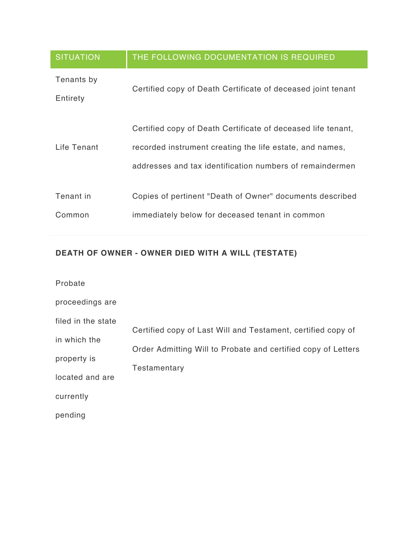| <b>SITUATION</b>       | THE FOLLOWING DOCUMENTATION IS REQUIRED                                                                                                                                              |
|------------------------|--------------------------------------------------------------------------------------------------------------------------------------------------------------------------------------|
| Tenants by<br>Entirety | Certified copy of Death Certificate of deceased joint tenant                                                                                                                         |
| Life Tenant            | Certified copy of Death Certificate of deceased life tenant,<br>recorded instrument creating the life estate, and names,<br>addresses and tax identification numbers of remaindermen |
| Tenant in<br>Common    | Copies of pertinent "Death of Owner" documents described<br>immediately below for deceased tenant in common                                                                          |

# **DEATH OF OWNER - OWNER DIED WITH A WILL (TESTATE)**

| Probate            |                                                               |
|--------------------|---------------------------------------------------------------|
| proceedings are    |                                                               |
| filed in the state | Certified copy of Last Will and Testament, certified copy of  |
| in which the       |                                                               |
| property is        | Order Admitting Will to Probate and certified copy of Letters |
| located and are    | Testamentary                                                  |
| currently          |                                                               |
| pending            |                                                               |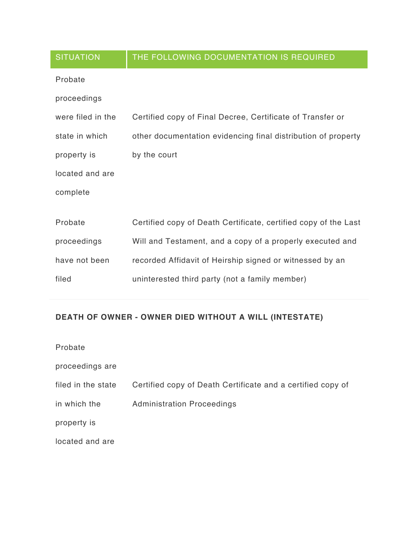| <b>SITUATION</b>  | THE FOLLOWING DOCUMENTATION IS REQUIRED                         |
|-------------------|-----------------------------------------------------------------|
| Probate           |                                                                 |
| proceedings       |                                                                 |
| were filed in the | Certified copy of Final Decree, Certificate of Transfer or      |
| state in which    | other documentation evidencing final distribution of property   |
| property is       | by the court                                                    |
| located and are   |                                                                 |
| complete          |                                                                 |
|                   |                                                                 |
| Probate           | Certified copy of Death Certificate, certified copy of the Last |
| proceedings       | Will and Testament, and a copy of a properly executed and       |
| have not been     | recorded Affidavit of Heirship signed or witnessed by an        |
| filed             | uninterested third party (not a family member)                  |

# **DEATH OF OWNER - OWNER DIED WITHOUT A WILL (INTESTATE)**

| Probate            |                                                             |
|--------------------|-------------------------------------------------------------|
| proceedings are    |                                                             |
| filed in the state | Certified copy of Death Certificate and a certified copy of |
| in which the       | <b>Administration Proceedings</b>                           |
| property is        |                                                             |
| located and are    |                                                             |